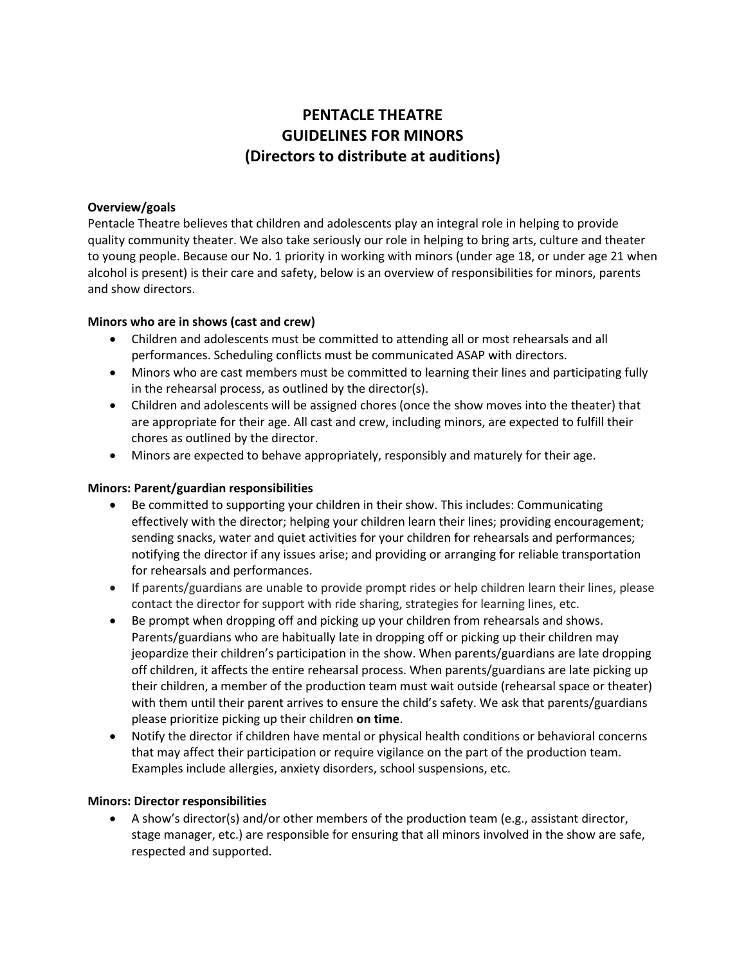# **PENTACLE THEATRE GUIDELINES FOR MINORS (Directors to distribute at auditions)**

## **Overview/goals**

Pentacle Theatre believes that children and adolescents play an integral role in helping to provide quality community theater. We also take seriously our role in helping to bring arts, culture and theater to young people. Because our No. 1 priority in working with minors (under age 18, or under age 21 when alcohol is present) is their care and safety, below is an overview of responsibilities for minors, parents and show directors.

## **Minors who are in shows (cast and crew)**

- Children and adolescents must be committed to attending all or most rehearsals and all performances. Scheduling conflicts must be communicated ASAP with directors.
- Minors who are cast members must be committed to learning their lines and participating fully in the rehearsal process, as outlined by the director(s).
- Children and adolescents will be assigned chores (once the show moves into the theater) that are appropriate for their age. All cast and crew, including minors, are expected to fulfill their chores as outlined by the director.
- Minors are expected to behave appropriately, responsibly and maturely for their age.

#### **Minors: Parent/guardian responsibilities**

- Be committed to supporting your children in their show. This includes: Communicating effectively with the director; helping your children learn their lines; providing encouragement; sending snacks, water and quiet activities for your children for rehearsals and performances; notifying the director if any issues arise; and providing or arranging for reliable transportation for rehearsals and performances.
- If parents/guardians are unable to provide prompt rides or help children learn their lines, please contact the director for support with ride sharing, strategies for learning lines, etc.
- Be prompt when dropping off and picking up your children from rehearsals and shows. Parents/guardians who are habitually late in dropping off or picking up their children may jeopardize their children's participation in the show. When parents/guardians are late dropping off children, it affects the entire rehearsal process. When parents/guardians are late picking up their children, a member of the production team must wait outside (rehearsal space or theater) with them until their parent arrives to ensure the child's safety. We ask that parents/guardians please prioritize picking up their children **on time**.
- Notify the director if children have mental or physical health conditions or behavioral concerns that may affect their participation or require vigilance on the part of the production team. Examples include allergies, anxiety disorders, school suspensions, etc.

#### **Minors: Director responsibilities**

• A show's director(s) and/or other members of the production team (e.g., assistant director, stage manager, etc.) are responsible for ensuring that all minors involved in the show are safe, respected and supported.